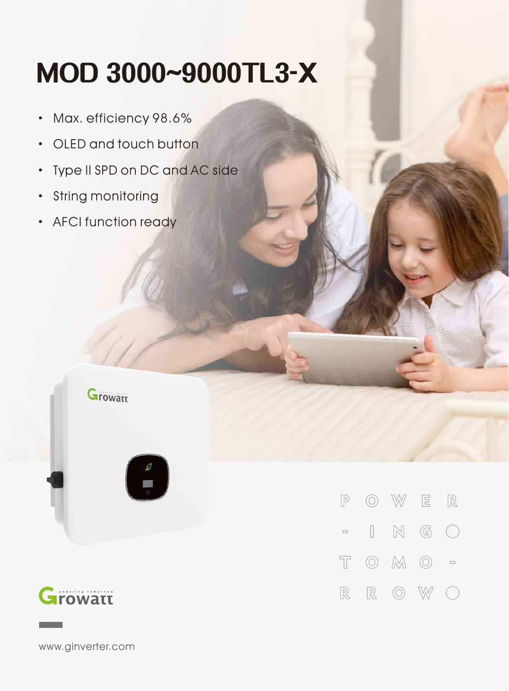## **MOD3000~9000TL3-X**

- · Max. efficiency 98.6%
- · OLED and touch button
- · Type II SPD on DC and AC side
- · String monitoring
- · AFCI function ready





| P |  | 0 W E R                                                                   |  |
|---|--|---------------------------------------------------------------------------|--|
|   |  |                                                                           |  |
|   |  | $T$ $\odot$ $M$ $\odot$ $\circ$                                           |  |
|   |  | $\mathbb{R} \quad \mathbb{R} \quad \odot \quad \mathbb{W} \quad \bigcirc$ |  |

www.ginverter.com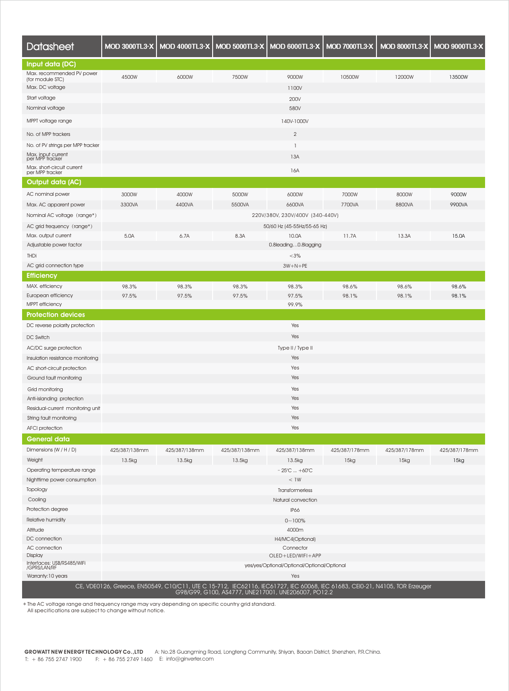| <b>Datasheet</b>                              | <b>MOD 3000TL3-X</b>                        | MOD 4000TL3-X   MOD 5000TL3-X |               | <b>MOD 6000TL3-X</b>                                                                                                                                                               | <b>MOD 7000TL3-X</b> | <b>MOD 8000TL3-X</b> | <b>MOD 9000TL3-X</b> |
|-----------------------------------------------|---------------------------------------------|-------------------------------|---------------|------------------------------------------------------------------------------------------------------------------------------------------------------------------------------------|----------------------|----------------------|----------------------|
| Input data (DC)                               |                                             |                               |               |                                                                                                                                                                                    |                      |                      |                      |
| Max. recommended PV power<br>(for module STC) | 4500W                                       | 6000W                         | 7500W         | 9000W                                                                                                                                                                              | 10500W               | 12000W               | 13500W               |
| Max. DC voltage                               |                                             |                               |               | 1100V                                                                                                                                                                              |                      |                      |                      |
| Start voltage                                 |                                             |                               |               | 200V                                                                                                                                                                               |                      |                      |                      |
| Nominal voltage                               |                                             |                               |               | 580V                                                                                                                                                                               |                      |                      |                      |
| MPPT voltage range                            |                                             |                               |               | 140V-1000V                                                                                                                                                                         |                      |                      |                      |
| No. of MPP trackers                           |                                             |                               |               | $\mathbf{2}$                                                                                                                                                                       |                      |                      |                      |
| No. of PV strings per MPP tracker             |                                             |                               |               | $\mathbf{1}$                                                                                                                                                                       |                      |                      |                      |
| Max. input current<br>per MPP tracker         |                                             |                               |               | 13A                                                                                                                                                                                |                      |                      |                      |
| Max. short-circuit current<br>per MPP tracker |                                             |                               |               | 16A                                                                                                                                                                                |                      |                      |                      |
| Output data (AC)                              |                                             |                               |               |                                                                                                                                                                                    |                      |                      |                      |
| AC nominal power                              | 3000W                                       | 4000W                         | 5000W         | 6000W                                                                                                                                                                              | 7000W                | 8000W                | 9000W                |
| Max. AC apparent power                        | 3300VA                                      | 4400VA                        | 5500VA        | 6600VA                                                                                                                                                                             | 7700VA               | 8800VA               | 9900VA               |
| Nominal AC voltage (range*)                   |                                             |                               |               | 220V/380V, 230V/400V (340-440V)                                                                                                                                                    |                      |                      |                      |
| AC grid frequency (range*)                    |                                             |                               |               | 50/60 Hz (45-55Hz/55-65 Hz)                                                                                                                                                        |                      |                      |                      |
| Max. output current                           | 5.0A                                        | 6.7A                          | 8.3A          | 10.0A                                                                                                                                                                              | 11.7A                | 13.3A                | 15.0A                |
| Adjustable power factor                       |                                             |                               |               | 0.8leading0.8lagging                                                                                                                                                               |                      |                      |                      |
| THDi                                          |                                             |                               |               | $< 3\%$                                                                                                                                                                            |                      |                      |                      |
| AC grid connection type                       |                                             |                               |               | $3W + N + PE$                                                                                                                                                                      |                      |                      |                      |
| <b>Efficiency</b>                             |                                             |                               |               |                                                                                                                                                                                    |                      |                      |                      |
| MAX. efficiency                               | 98.3%                                       | 98.3%                         | 98.3%         | 98.3%                                                                                                                                                                              | 98.6%                | 98.6%                | 98.6%                |
| European efficiency                           | 97.5%                                       | 97.5%                         | 97.5%         | 97.5%                                                                                                                                                                              | 98.1%                | 98.1%                | 98.1%                |
| <b>MPPT</b> efficiency                        |                                             |                               |               | 99.9%                                                                                                                                                                              |                      |                      |                      |
| <b>Protection devices</b>                     |                                             |                               |               |                                                                                                                                                                                    |                      |                      |                      |
| DC reverse polarity protection                |                                             |                               |               | Yes                                                                                                                                                                                |                      |                      |                      |
| DC Switch                                     |                                             |                               |               | Yes                                                                                                                                                                                |                      |                      |                      |
| AC/DC surge protection                        |                                             |                               |               | Type II / Type II                                                                                                                                                                  |                      |                      |                      |
| Insulation resistance monitoring              |                                             |                               |               | Yes                                                                                                                                                                                |                      |                      |                      |
| AC short-circuit protection                   | Yes                                         |                               |               |                                                                                                                                                                                    |                      |                      |                      |
| Ground fault monitoring                       | Yes                                         |                               |               |                                                                                                                                                                                    |                      |                      |                      |
| Grid monitoring                               | Yes                                         |                               |               |                                                                                                                                                                                    |                      |                      |                      |
| Anti-islanding protection                     | Yes                                         |                               |               |                                                                                                                                                                                    |                      |                      |                      |
| Residual-current monitoring unit              | Yes                                         |                               |               |                                                                                                                                                                                    |                      |                      |                      |
| String fault monitoring                       | Yes                                         |                               |               |                                                                                                                                                                                    |                      |                      |                      |
| AFCI protection                               | Yes                                         |                               |               |                                                                                                                                                                                    |                      |                      |                      |
| General data                                  |                                             |                               |               |                                                                                                                                                                                    |                      |                      |                      |
| Dimensions (W / H / D)                        | 425/387/138mm                               | 425/387/138mm                 | 425/387/138mm | 425/387/138mm                                                                                                                                                                      | 425/387/178mm        | 425/387/178mm        | 425/387/178mm        |
| Weight                                        | 13.5kg                                      | 13.5kg                        | 13.5kg        | 13.5kg                                                                                                                                                                             | 15kg                 | 15kg                 | 15kg                 |
| Operating temperature range                   |                                             |                               |               | $-25^{\circ}$ C $+60^{\circ}$ C                                                                                                                                                    |                      |                      |                      |
| Nighttime power consumption                   | <1W                                         |                               |               |                                                                                                                                                                                    |                      |                      |                      |
| Topology                                      | Transformerless                             |                               |               |                                                                                                                                                                                    |                      |                      |                      |
| Cooling                                       | Natural convection                          |                               |               |                                                                                                                                                                                    |                      |                      |                      |
| Protection degree                             | IP66                                        |                               |               |                                                                                                                                                                                    |                      |                      |                      |
| Relative humidity                             | $0 - 100%$                                  |                               |               |                                                                                                                                                                                    |                      |                      |                      |
| Altitude                                      | 4000m                                       |                               |               |                                                                                                                                                                                    |                      |                      |                      |
| DC connection                                 | H4/MC4(Optional)                            |                               |               |                                                                                                                                                                                    |                      |                      |                      |
| AC connection                                 | Connector                                   |                               |               |                                                                                                                                                                                    |                      |                      |                      |
| Display                                       | OLED+LED/WIFI+APP                           |                               |               |                                                                                                                                                                                    |                      |                      |                      |
| Interfaces: USB/RS485/WiFi<br>/GPRS/LAN/RF    | yes/yes/Optional/Optional/Optional/Optional |                               |               |                                                                                                                                                                                    |                      |                      |                      |
| Warranty: 10 years                            |                                             |                               |               | Yes                                                                                                                                                                                |                      |                      |                      |
|                                               |                                             |                               |               | CE, VDE0126, Greece, EN50549, C10/C11, UTE C 15-712, IEC62116, IEC61727, IEC 60068, IEC 61683, CEI0-21, N4105, TOR Erzeuger<br>G98/G99, G100, AS4777, UNE217001, UNE206007, PO12.2 |                      |                      |                      |

\* The AC voltage range and frequency range may vary depending on specific country grid standard. All specifications are subject to change without notice.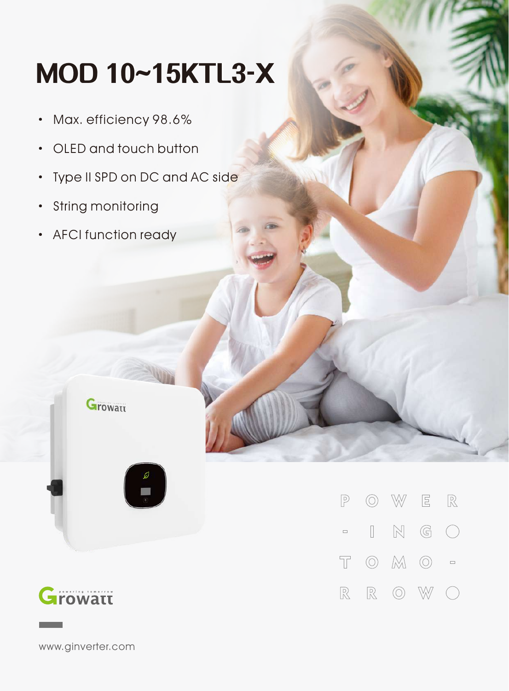## **MOD10~15KTL3-X**

- · Max. efficiency 98.6%
- · OLED and touch button
- Type II SPD on DC and AC side
- · String monitoring
- · AFCI function ready

**Growatt** 



 $\mathbb{R}$  $\circledcirc$  $\mathbb{W}$  $\mathbf{E}$  $\mathbb{P}$  $\mathbb N$  $\mathbb{G}$  $\begin{bmatrix} \phantom{-} \end{bmatrix}$  $\left(\begin{array}{c}\right)$  $\qquad \qquad \Box$  $\overline{\mathbb{T}}$  $\circledcirc$   $\mathbb{M}$   $\circlearrowright$  =  $\mathbb{R}$  $\circledcirc$  $\mathbb R$ W  $(\ )$ 

www.ginverter.com